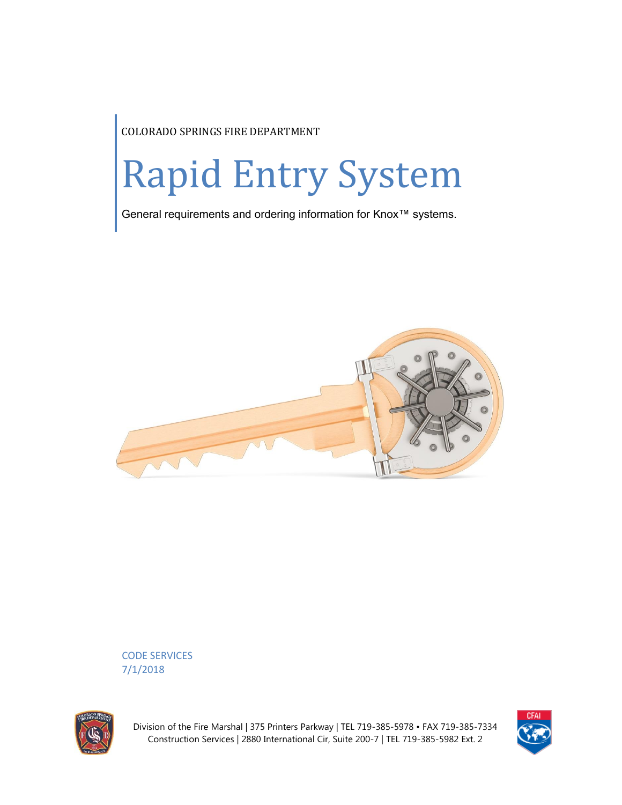COLORADO SPRINGS FIRE DEPARTMENT

# Rapid Entry System

General requirements and ordering information for Knox™ systems.



CODE SERVICES 7/1/2018



Division of the Fire Marshal | 375 Printers Parkway | TEL 719-385-5978 • FAX 719-385-7334 Construction Services | 2880 International Cir, Suite 200-7 | TEL 719-385-5982 Ext. 2

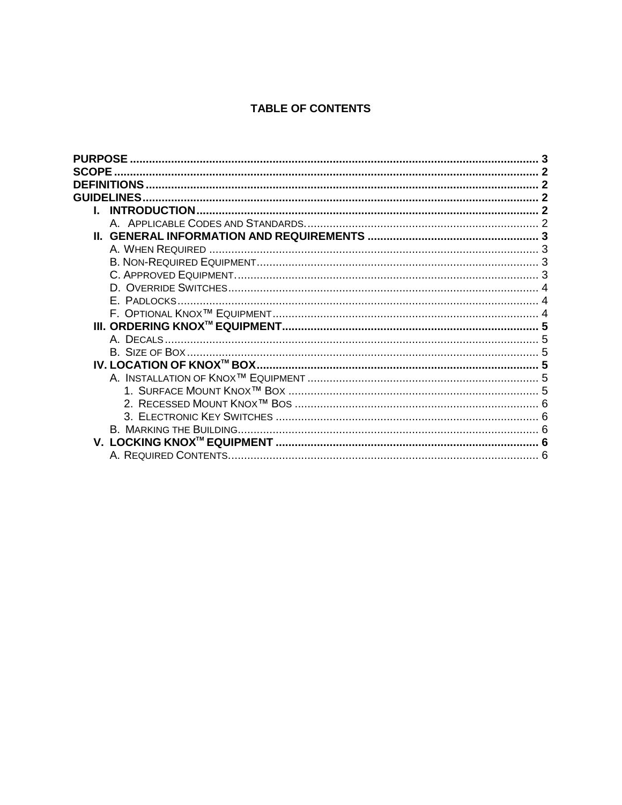# **TABLE OF CONTENTS**

| <b>PURPOSE</b>     |  |
|--------------------|--|
| <b>SCOPE</b>       |  |
| <b>DEFINITIONS</b> |  |
| <b>GUIDELINES</b>  |  |
|                    |  |
|                    |  |
|                    |  |
|                    |  |
|                    |  |
|                    |  |
|                    |  |
| E. PADLOCKS        |  |
|                    |  |
|                    |  |
| A. DECALS.         |  |
|                    |  |
|                    |  |
|                    |  |
|                    |  |
|                    |  |
|                    |  |
|                    |  |
|                    |  |
|                    |  |
|                    |  |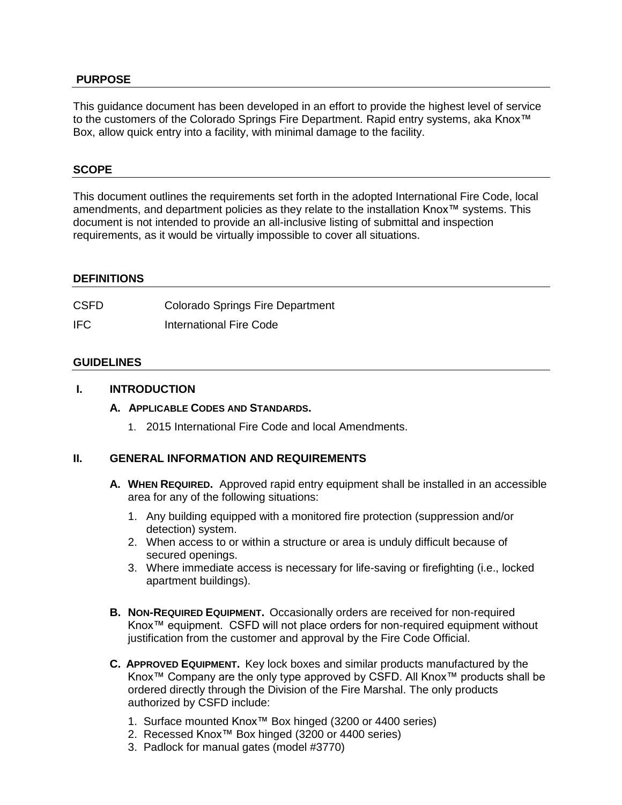# **PURPOSE**

This guidance document has been developed in an effort to provide the highest level of service to the customers of the Colorado Springs Fire Department. Rapid entry systems, aka Knox™ Box, allow quick entry into a facility, with minimal damage to the facility.

### **SCOPE**

This document outlines the requirements set forth in the adopted International Fire Code, local amendments, and department policies as they relate to the installation Knox™ systems. This document is not intended to provide an all-inclusive listing of submittal and inspection requirements, as it would be virtually impossible to cover all situations.

### **DEFINITIONS**

| <b>CSFD</b> | <b>Colorado Springs Fire Department</b> |
|-------------|-----------------------------------------|
| IFC.        | International Fire Code                 |

### **GUIDELINES**

### **I. INTRODUCTION**

### **A. APPLICABLE CODES AND STANDARDS.**

1. 2015 International Fire Code and local Amendments.

# **II. GENERAL INFORMATION AND REQUIREMENTS**

- **A. WHEN REQUIRED.** Approved rapid entry equipment shall be installed in an accessible area for any of the following situations:
	- 1. Any building equipped with a monitored fire protection (suppression and/or detection) system.
	- 2. When access to or within a structure or area is unduly difficult because of secured openings.
	- 3. Where immediate access is necessary for life-saving or firefighting (i.e., locked apartment buildings).
- **B. NON-REQUIRED EQUIPMENT.** Occasionally orders are received for non-required Knox™ equipment. CSFD will not place orders for non-required equipment without justification from the customer and approval by the Fire Code Official.
- **C. APPROVED EQUIPMENT.** Key lock boxes and similar products manufactured by the Knox™ Company are the only type approved by CSFD. All Knox™ products shall be ordered directly through the Division of the Fire Marshal. The only products authorized by CSFD include:
	- 1. Surface mounted Knox™ Box hinged (3200 or 4400 series)
	- 2. Recessed Knox™ Box hinged (3200 or 4400 series)
	- 3. Padlock for manual gates (model #3770)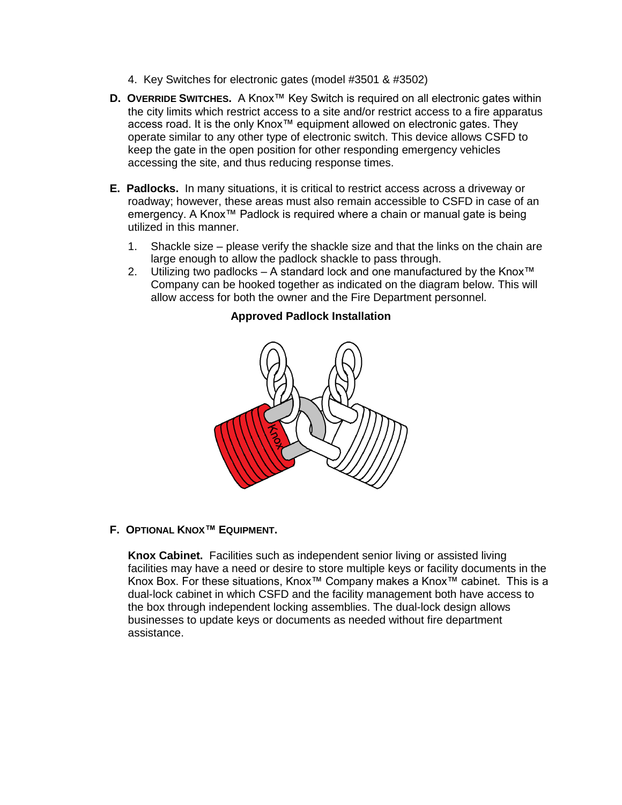- 4. Key Switches for electronic gates (model #3501 & #3502)
- **D. OVERRIDE SWITCHES.** A Knox™ Key Switch is required on all electronic gates within the city limits which restrict access to a site and/or restrict access to a fire apparatus access road. It is the only Knox™ equipment allowed on electronic gates. They operate similar to any other type of electronic switch. This device allows CSFD to keep the gate in the open position for other responding emergency vehicles accessing the site, and thus reducing response times.
- **E. Padlocks.** In many situations, it is critical to restrict access across a driveway or roadway; however, these areas must also remain accessible to CSFD in case of an emergency. A Knox™ Padlock is required where a chain or manual gate is being utilized in this manner.
	- 1. Shackle size please verify the shackle size and that the links on the chain are large enough to allow the padlock shackle to pass through.
	- 2. Utilizing two padlocks A standard lock and one manufactured by the Knox™ Company can be hooked together as indicated on the diagram below. This will allow access for both the owner and the Fire Department personnel.

# **Approved Padlock Installation**

### **F. OPTIONAL KNOX™ EQUIPMENT.**

**Knox Cabinet.** Facilities such as independent senior living or assisted living facilities may have a need or desire to store multiple keys or facility documents in the Knox Box. For these situations, Knox™ Company makes a Knox™ cabinet. This is a dual-lock cabinet in which CSFD and the facility management both have access to the box through independent locking assemblies. The dual-lock design allows businesses to update keys or documents as needed without fire department assistance.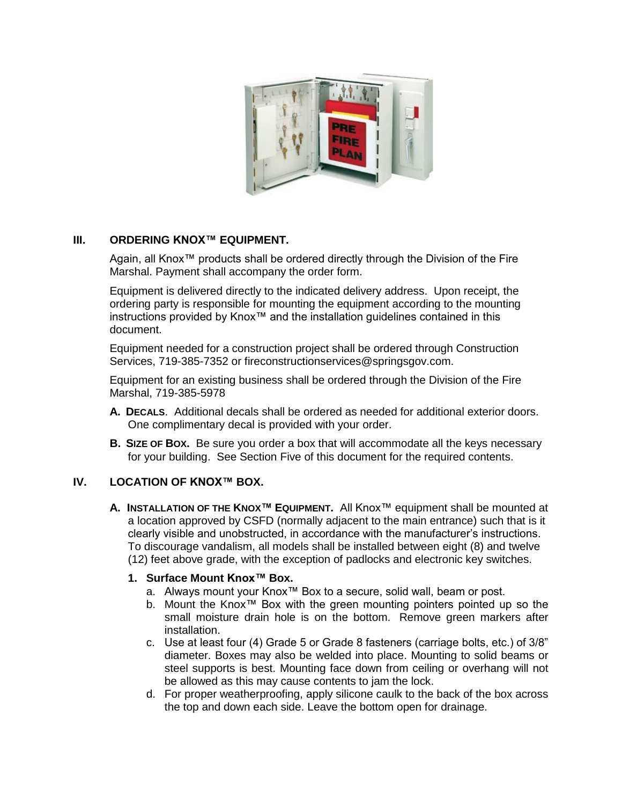

# **III. ORDERING KNOX™ EQUIPMENT.**

Again, all Knox™ products shall be ordered directly through the Division of the Fire Marshal. Payment shall accompany the order form.

Equipment is delivered directly to the indicated delivery address. Upon receipt, the ordering party is responsible for mounting the equipment according to the mounting instructions provided by Knox™ and the installation guidelines contained in this document.

Equipment needed for a construction project shall be ordered through Construction Services, 719-385-7352 or fireconstructionservices@springsgov.com.

Equipment for an existing business shall be ordered through the Division of the Fire Marshal, 719-385-5978

- **A. DECALS**. Additional decals shall be ordered as needed for additional exterior doors. One complimentary decal is provided with your order.
- **B.** SIZE OF BOX. Be sure you order a box that will accommodate all the keys necessary for your building. See Section Five of this document for the required contents.

# **IV. LOCATION OF KNOX™ BOX.**

**A. INSTALLATION OF THE KNOX™ EQUIPMENT.** All Knox™ equipment shall be mounted at a location approved by CSFD (normally adjacent to the main entrance) such that is it clearly visible and unobstructed, in accordance with the manufacturer's instructions. To discourage vandalism, all models shall be installed between eight (8) and twelve (12) feet above grade, with the exception of padlocks and electronic key switches.

# **1. Surface Mount Knox™ Box.**

- a. Always mount your Knox™ Box to a secure, solid wall, beam or post.
- b. Mount the Knox™ Box with the green mounting pointers pointed up so the small moisture drain hole is on the bottom. Remove green markers after installation.
- c. Use at least four (4) Grade 5 or Grade 8 fasteners (carriage bolts, etc.) of 3/8" diameter. Boxes may also be welded into place. Mounting to solid beams or steel supports is best. Mounting face down from ceiling or overhang will not be allowed as this may cause contents to jam the lock.
- d. For proper weatherproofing, apply silicone caulk to the back of the box across the top and down each side. Leave the bottom open for drainage.